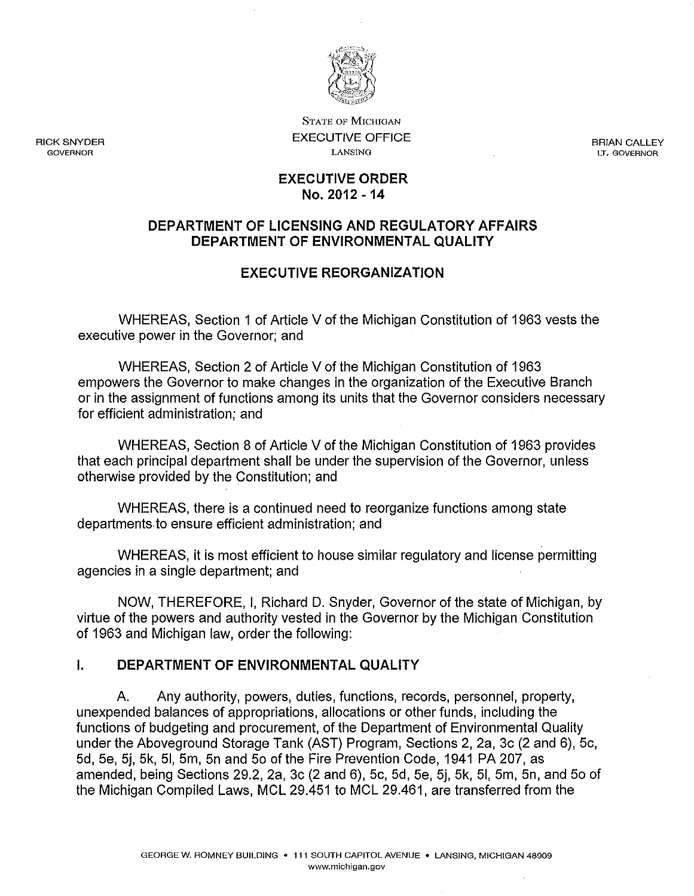

STATE OF MICHIGAN EXECUTIVE OFFICE LANSING

BRIAN CALLEY LT. GOVERNOR

#### EXECUTIVE ORDER No. 2012 -14

### DEPARTMENT OF LICENSING AND REGULATORY AFFAIRS DEPARTMENT OF ENVIRONMENTAL QUALITY

# EXECUTIVE REORGANIZATION

WHEREAS, Section 1 of Article V of the Michigan Constitution of 1963 vests the executive power in the Governor; and

WHEREAS, Section 2 of Article V of the Michigan Constitution of 1963 empowers the Governor to make changes in the organization of the Executive Branch or in the assignment of functions among its units that the Governor considers necessary for efficient administration; and

WHEREAS, Section 8 of Article V of the Michigan Constitution of 1963 provides that each principal department shall be under the supervision of the Governor, unless otherwise provided by the Constitution; and

WHEREAS, there is a continued need to reorganize functions among state departments to ensure efficient administration; and

WHEREAS, it is most efficient to house similar regulatory and license permitting agencies in a single department; and

NOW, THEREFORE, I, Richard D. Snyder, Governor of the state of Michigan, by virtue of the powers and authority vested in the Governor by the Michigan Constitution of 1963 and Michigan law, order the following:

## I. DEPARTMENT OF ENVIRONMENTAL QUALITY

A. Any authority, powers, duties, functions, records, personnel, property, unexpended balances of appropriations, allocations or other funds, including the functions of budgeting and procurement, of the Department of Environmental Quality under the Aboveground Storage Tank (AST) Program, Sections 2, 2a, 3c (2 and 6), 5c, 5d, 5e, 5j, 5k, 51, 5m, 5n and 50 of the Fire Prevention Code, 1941 PA 207, as amended, being Sections 29.2, 2a, 3c (2 and 6), 5c, 5d, 5e, 5j, 5k, 51, 5m, 5n, and 50 of the Michigan Compiled laws, MCl 29.451 to MCl 29.461, are transferred from the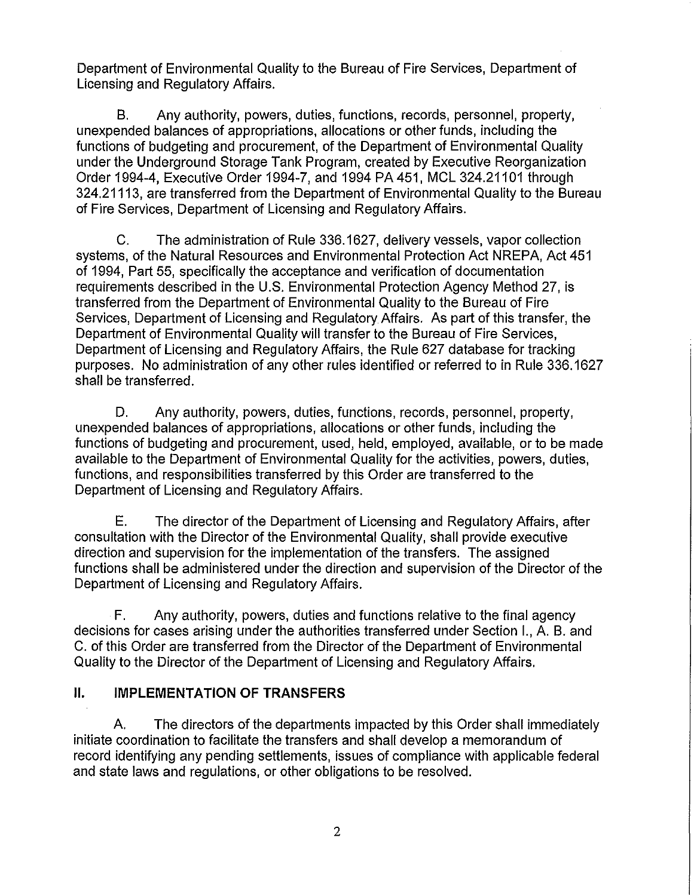Department of Environmental Quality to the Bureau of Fire Services, Department of Licensing and Regulatory Affairs.

B. Any authority, powers, duties, functions, records, personnel, property, unexpended balances of appropriations, allocations or other funds, including the functions of budgeting and procurement, of the Department of Environmental Quality under the Underground Storage Tank Program, created by Executive Reorganization Order 1994-4, Executive Order 1994-7, and 1994 PA451, MCl 324.21101 through 324.21113, are transferred from the Department of Environmental Quality to the Bureau of Fire Services, Department of Licensing and Regulatory Affairs.

C. The administration of Rule 336.1627, delivery vessels, vapor collection systems, of the Natural Resources and Environmental Protection Act NREPA, Act 451 of 1994, Part 55, specifically the acceptance and verification of documentation requirements described in the U.S. Environmental Protection Agency Method 27, is transferred from the Department of Environmental Quality to the Bureau of Fire Services, Department of Licensing and Regulatory Affairs. As part of this transfer, the Department of Environmental Quality will transfer to the Bureau of Fire Services, Department of Licensing and Regulatory Affairs, the Rule 627 database for tracking purposes. No administration of any other rules identified or referred to in Rule 336.1627 shall be transferred.

D. Any authority, powers, duties, functions, records, personnel, property, unexpended balances of appropriations, allocations or other funds, including the functions of budgeting and procurement, used, held, employed, available, or to be made available to the Department of Environmental Quality for the activities, powers, duties, functions, and responsibilities transferred by this Order are transferred to the Department of Licensing and Regulatory Affairs.

E. The director of the Department of Licensing and Regulatory Affairs, after consultation with the Director of the Environmental Quality, shall provide executive direction and supervision for the implementation of the transfers. The assigned functions shall be administered under the direction and supervision of the Director of the Department of Licensing and Regulatory Affairs.

F. Any authority, powers, duties and functions relative to the final agency decisions for cases arising under the authorities transferred under Section I., A. B. and C. of this Order are transferred from the Director of the Department of Environmental Quality to the Director of the Department of Licensing and Regulatory Affairs.

## **II. IMPLEMENTATION OF TRANSFERS**

A. The directors of the departments impacted by this Order shall immediately initiate coordination to facilitate the transfers and shall develop a memorandum of record identifying any pending settlements, issues of compliance with applicable federal and state laws and regulations, or other obligations to be resolved.